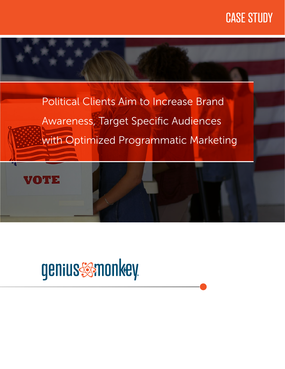## CASE STUDY



# genius samonkey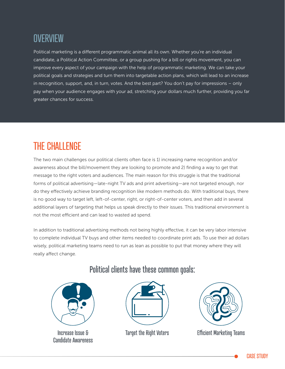### **OVERVIEW**

Political marketing is a different programmatic animal all its own. Whether you're an individual candidate, a Political Action Committee, or a group pushing for a bill or rights movement, you can improve every aspect of your campaign with the help of programmatic marketing. We can take your political goals and strategies and turn them into targetable action plans, which will lead to an increase in recognition, support, and, in turn, votes. And the best part? You don't pay for impressions – only pay when your audience engages with your ad, stretching your dollars much further, providing you far greater chances for success.

### THE CHALLENGE

The two main challenges our political clients often face is 1) increasing name recognition and/or awareness about the bill/movement they are looking to promote and 2) finding a way to get that message to the right voters and audiences. The main reason for this struggle is that the traditional forms of political advertising—late-night TV ads and print advertising—are not targeted enough, nor do they effectively achieve branding recognition like modern methods do. With traditional buys, there is no good way to target left, left-of-center, right, or right-of-center voters, and then add in several additional layers of targeting that helps us speak directly to their issues. This traditional environment is not the most efficient and can lead to wasted ad spend.

In addition to traditional advertising methods not being highly effective, it can be very labor intensive to complete individual TV buys and other items needed to coordinate print ads. To use their ad dollars wisely, political marketing teams need to run as lean as possible to put that money where they will really affect change.



Increase Issue & Candidate Awareness

#### Political clients have these common goals:





Target the Right Voters Efficient Marketing Teams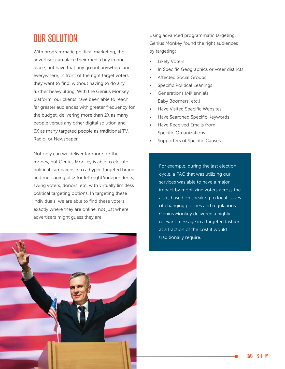#### OUR SOLUTION

With programmatic political marketing, the advertiser can place their media buy in one place, but have that buy go out anywhere and everywhere, in front of the right target voters they want to find, without having to do any further heavy lifting. With the Genius Monkey platform, our clients have been able to reach far greater audiences with greater frequency for the budget, delivering more than 2X as many people versus any other digital solution and 6X as many targeted people as traditional TV, Radio, or Newspaper.

Not only can we deliver far more for the money, but Genius Monkey is able to elevate political campaigns into a hyper-targeted brand and messaging blitz for left/right/independents, swing voters, donors, etc. with virtually limitless political targeting options. In targeting these individuals, we are able to find these voters exactly where they are online, not just where advertisers might guess they are.

Using advanced programmatic targeting, Genius Monkey found the right audiences by targeting:

- **Likely Voters**
- In Specific Geographics or voter districts
- Affected Social Groups
- Specific Political Leanings
- Generations (Millennials, Baby Boomers, etc.)
- Have Visited Specific Websites
- Have Searched Specific Keywords
- Have Received Emails from Specific Organizations
- Supporters of Specific Causes

For example, during the last election cycle, a PAC that was utilizing our services was able to have a major impact by mobilizing voters across the aisle, based on speaking to local issues of changing policies and regulations. Genius Monkey delivered a highly relevant message in a targeted fashion at a fraction of the cost it would traditionally require.